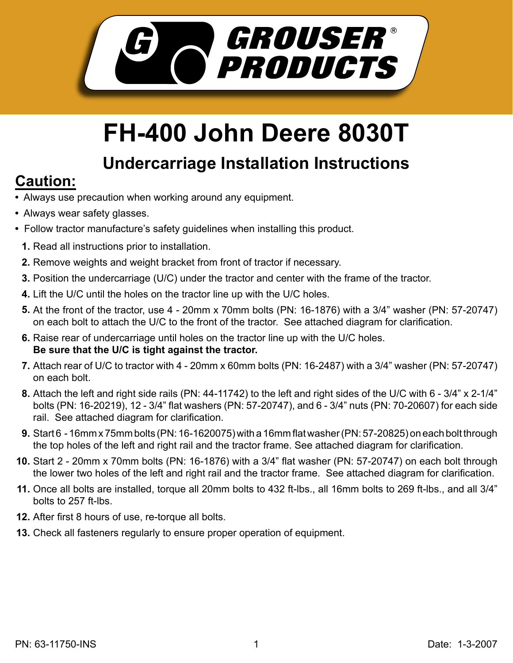

## **FH-400 John Deere 8030T**

## **Undercarriage Installation Instructions**

## **Caution:**

- Always use precaution when working around any equipment.
- Always wear safety glasses.
- Follow tractor manufacture's safety guidelines when installing this product.
	- **1.** Read all instructions prior to installation.
	- **2.** Remove weights and weight bracket from front of tractor if necessary.
	- **3.** Position the undercarriage (U/C) under the tractor and center with the frame of the tractor.
	- Lift the U/C until the holes on the tractor line up with the U/C holes. **4.**
	- **5.** At the front of the tractor, use 4 20mm x 70mm bolts (PN: 16-1876) with a 3/4" washer (PN: 57-20747) on each bolt to attach the U/C to the front of the tractor. See attached diagram for clarification.
	- **6.** Raise rear of undercarriage until holes on the tractor line up with the U/C holes. **Be sure that the U/C is tight against the tractor.**
	- Attach rear of U/C to tractor with 4 20mm x 60mm bolts (PN: 16-2487) with a 3/4" washer (PN: 57-20747) **7.** on each bolt.
	- Attach the left and right side rails (PN: 44-11742) to the left and right sides of the U/C with 6 3/4" x 2-1/4" **8.** bolts (PN: 16-20219), 12 - 3/4" flat washers (PN: 57-20747), and 6 - 3/4" nuts (PN: 70-20607) for each side rail. See attached diagram for clarification.
	- Start 6 16mm x 75mm bolts (PN: 16-1620075) with a 16mm flat washer (PN: 57-20825) on each bolt through **9.** the top holes of the left and right rail and the tractor frame. See attached diagram for clarification.
- **10.** Start 2 20mm x 70mm bolts (PN: 16-1876) with a 3/4" flat washer (PN: 57-20747) on each bolt through the lower two holes of the left and right rail and the tractor frame. See attached diagram for clarification.
- **11.** Once all bolts are installed, torque all 20mm bolts to 432 ft-lbs., all 16mm bolts to 269 ft-lbs., and all 3/4" bolts to 257 ft-lbs.
- **12.** After first 8 hours of use, re-torque all bolts.
- **13.** Check all fasteners regularly to ensure proper operation of equipment.